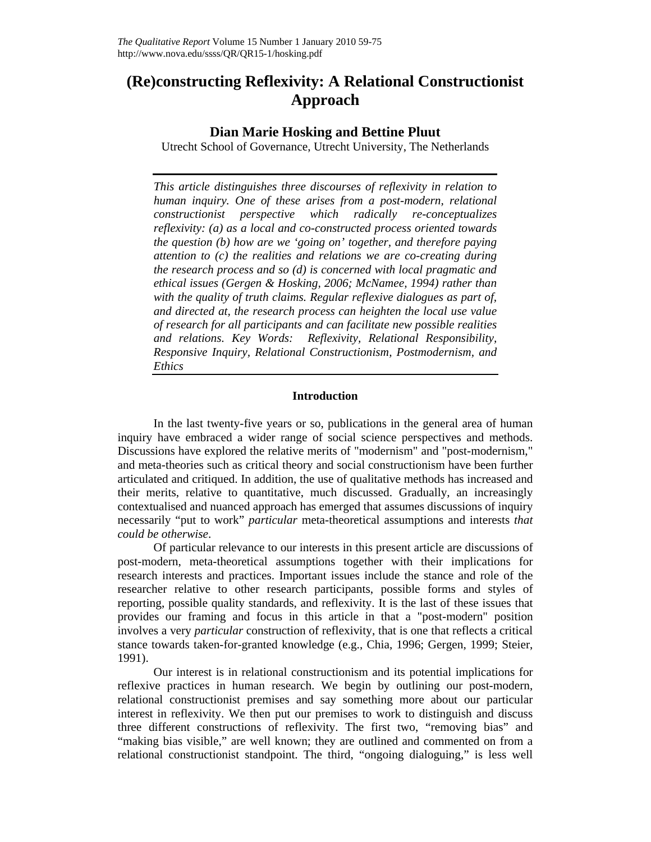# **(Re)constructing Reflexivity: A Relational Constructionist Approach**

## **Dian Marie Hosking and Bettine Pluut**

Utrecht School of Governance, Utrecht University, The Netherlands

*This article distinguishes three discourses of reflexivity in relation to human inquiry. One of these arises from a post-modern, relational constructionist perspective which radically re-conceptualizes reflexivity: (a) as a local and co-constructed process oriented towards the question (b) how are we 'going on' together, and therefore paying attention to (c) the realities and relations we are co-creating during the research process and so (d) is concerned with local pragmatic and ethical issues (Gergen & Hosking, 2006; McNamee, 1994) rather than with the quality of truth claims. Regular reflexive dialogues as part of, and directed at, the research process can heighten the local use value of research for all participants and can facilitate new possible realities and relations. Key Words: Reflexivity, Relational Responsibility, Responsive Inquiry, Relational Constructionism, Postmodernism, and Ethics* 

## **Introduction**

In the last twenty-five years or so, publications in the general area of human inquiry have embraced a wider range of social science perspectives and methods. Discussions have explored the relative merits of "modernism" and "post-modernism," and meta-theories such as critical theory and social constructionism have been further articulated and critiqued. In addition, the use of qualitative methods has increased and their merits, relative to quantitative, much discussed. Gradually, an increasingly contextualised and nuanced approach has emerged that assumes discussions of inquiry necessarily "put to work" *particular* meta-theoretical assumptions and interests *that could be otherwise*.

Of particular relevance to our interests in this present article are discussions of post-modern, meta-theoretical assumptions together with their implications for research interests and practices. Important issues include the stance and role of the researcher relative to other research participants, possible forms and styles of reporting, possible quality standards, and reflexivity. It is the last of these issues that provides our framing and focus in this article in that a "post-modern" position involves a very *particular* construction of reflexivity, that is one that reflects a critical stance towards taken-for-granted knowledge (e.g., Chia, 1996; Gergen, 1999; Steier, 1991).

Our interest is in relational constructionism and its potential implications for reflexive practices in human research. We begin by outlining our post-modern, relational constructionist premises and say something more about our particular interest in reflexivity. We then put our premises to work to distinguish and discuss three different constructions of reflexivity. The first two, "removing bias" and "making bias visible," are well known; they are outlined and commented on from a relational constructionist standpoint. The third, "ongoing dialoguing," is less well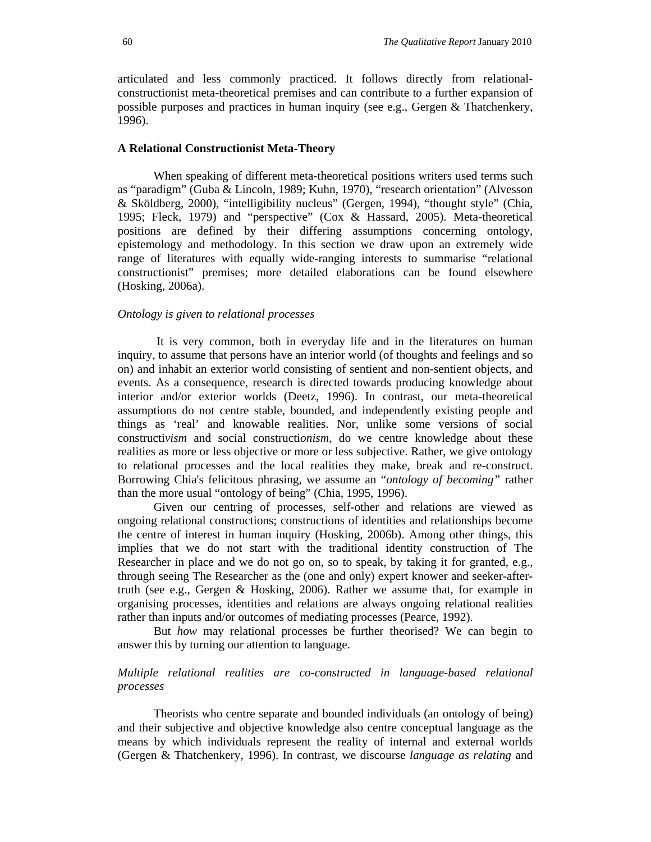articulated and less commonly practiced. It follows directly from relationalconstructionist meta-theoretical premises and can contribute to a further expansion of possible purposes and practices in human inquiry (see e.g., Gergen & Thatchenkery, 1996).

#### **A Relational Constructionist Meta-Theory**

When speaking of different meta-theoretical positions writers used terms such as "paradigm" (Guba & Lincoln, 1989; Kuhn, 1970), "research orientation" (Alvesson & Sköldberg, 2000), "intelligibility nucleus" (Gergen, 1994), "thought style" (Chia, 1995; Fleck, 1979) and "perspective" (Cox & Hassard, 2005). Meta-theoretical positions are defined by their differing assumptions concerning ontology, epistemology and methodology. In this section we draw upon an extremely wide range of literatures with equally wide-ranging interests to summarise "relational constructionist" premises; more detailed elaborations can be found elsewhere (Hosking, 2006a).

## *Ontology is given to relational processes*

 It is very common, both in everyday life and in the literatures on human inquiry, to assume that persons have an interior world (of thoughts and feelings and so on) and inhabit an exterior world consisting of sentient and non-sentient objects, and events. As a consequence, research is directed towards producing knowledge about interior and/or exterior worlds (Deetz, 1996). In contrast, our meta-theoretical assumptions do not centre stable, bounded, and independently existing people and things as 'real' and knowable realities. Nor, unlike some versions of social constructi*vism* and social constructi*onism*, do we centre knowledge about these realities as more or less objective or more or less subjective. Rather, we give ontology to relational processes and the local realities they make, break and re-construct. Borrowing Chia's felicitous phrasing, we assume an "*ontology of becoming"* rather than the more usual "ontology of being" (Chia, 1995, 1996).

Given our centring of processes, self-other and relations are viewed as ongoing relational constructions; constructions of identities and relationships become the centre of interest in human inquiry (Hosking, 2006b). Among other things, this implies that we do not start with the traditional identity construction of The Researcher in place and we do not go on, so to speak, by taking it for granted, e.g., through seeing The Researcher as the (one and only) expert knower and seeker-aftertruth (see e.g., Gergen & Hosking, 2006). Rather we assume that, for example in organising processes, identities and relations are always ongoing relational realities rather than inputs and/or outcomes of mediating processes (Pearce, 1992).

But *how* may relational processes be further theorised? We can begin to answer this by turning our attention to language.

## *Multiple relational realities are co-constructed in language-based relational processes*

Theorists who centre separate and bounded individuals (an ontology of being) and their subjective and objective knowledge also centre conceptual language as the means by which individuals represent the reality of internal and external worlds (Gergen & Thatchenkery, 1996). In contrast, we discourse *language as relating* and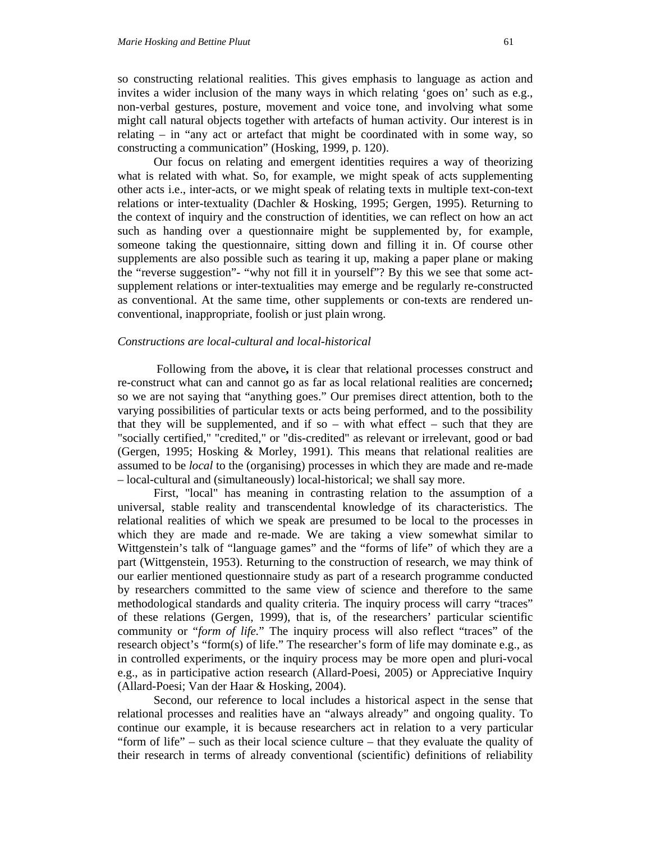so constructing relational realities. This gives emphasis to language as action and invites a wider inclusion of the many ways in which relating 'goes on' such as e.g., non-verbal gestures, posture, movement and voice tone, and involving what some might call natural objects together with artefacts of human activity. Our interest is in relating  $-$  in "any act or artefact that might be coordinated with in some way, so constructing a communication" (Hosking, 1999, p. 120).

Our focus on relating and emergent identities requires a way of theorizing what is related with what. So, for example, we might speak of acts supplementing other acts i.e., inter-acts, or we might speak of relating texts in multiple text-con-text relations or inter-textuality (Dachler & Hosking, 1995; Gergen, 1995). Returning to the context of inquiry and the construction of identities, we can reflect on how an act such as handing over a questionnaire might be supplemented by, for example, someone taking the questionnaire, sitting down and filling it in. Of course other supplements are also possible such as tearing it up, making a paper plane or making the "reverse suggestion"- "why not fill it in yourself"? By this we see that some actsupplement relations or inter-textualities may emerge and be regularly re-constructed as conventional. At the same time, other supplements or con-texts are rendered unconventional, inappropriate, foolish or just plain wrong.

#### *Constructions are local-cultural and local-historical*

Following from the above**,** it is clear that relational processes construct and re-construct what can and cannot go as far as local relational realities are concerned**;**  so we are not saying that "anything goes." Our premises direct attention, both to the varying possibilities of particular texts or acts being performed, and to the possibility that they will be supplemented, and if so  $-$  with what effect  $-$  such that they are "socially certified," "credited," or "dis-credited" as relevant or irrelevant, good or bad (Gergen, 1995; Hosking & Morley, 1991). This means that relational realities are assumed to be *local* to the (organising) processes in which they are made and re-made – local-cultural and (simultaneously) local-historical; we shall say more.

First, "local" has meaning in contrasting relation to the assumption of a universal, stable reality and transcendental knowledge of its characteristics. The relational realities of which we speak are presumed to be local to the processes in which they are made and re-made. We are taking a view somewhat similar to Wittgenstein's talk of "language games" and the "forms of life" of which they are a part (Wittgenstein, 1953). Returning to the construction of research, we may think of our earlier mentioned questionnaire study as part of a research programme conducted by researchers committed to the same view of science and therefore to the same methodological standards and quality criteria. The inquiry process will carry "traces" of these relations (Gergen, 1999), that is, of the researchers' particular scientific community or "*form of life.*" The inquiry process will also reflect "traces" of the research object's "form(s) of life." The researcher's form of life may dominate e.g., as in controlled experiments, or the inquiry process may be more open and pluri-vocal e.g., as in participative action research (Allard-Poesi, 2005) or Appreciative Inquiry (Allard-Poesi; Van der Haar & Hosking, 2004).

Second, our reference to local includes a historical aspect in the sense that relational processes and realities have an "always already" and ongoing quality. To continue our example, it is because researchers act in relation to a very particular "form of life" – such as their local science culture – that they evaluate the quality of their research in terms of already conventional (scientific) definitions of reliability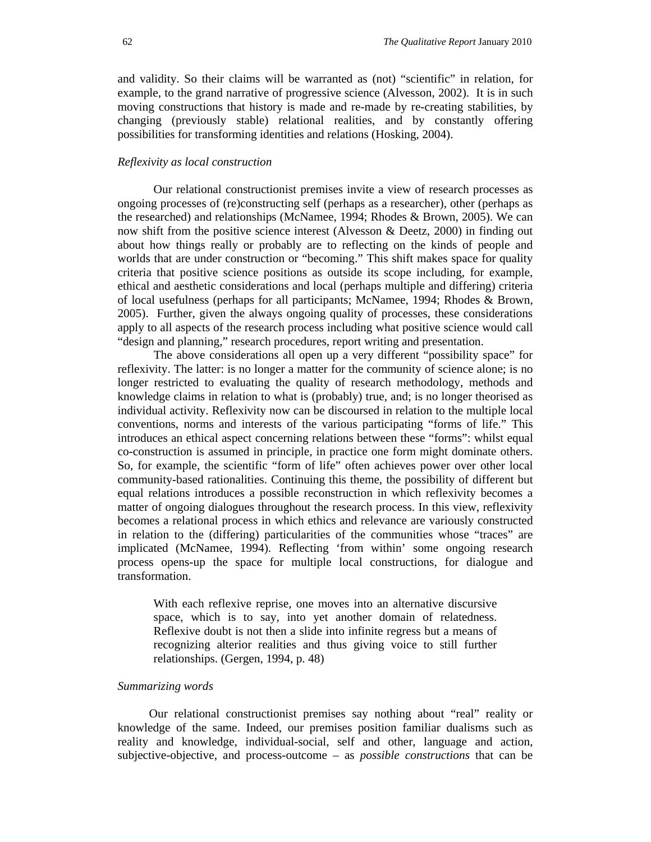and validity. So their claims will be warranted as (not) "scientific" in relation, for example, to the grand narrative of progressive science (Alvesson, 2002). It is in such moving constructions that history is made and re-made by re-creating stabilities, by changing (previously stable) relational realities, and by constantly offering possibilities for transforming identities and relations (Hosking, 2004).

#### *Reflexivity as local construction*

Our relational constructionist premises invite a view of research processes as ongoing processes of (re)constructing self (perhaps as a researcher), other (perhaps as the researched) and relationships (McNamee, 1994; Rhodes & Brown, 2005). We can now shift from the positive science interest (Alvesson & Deetz, 2000) in finding out about how things really or probably are to reflecting on the kinds of people and worlds that are under construction or "becoming." This shift makes space for quality criteria that positive science positions as outside its scope including, for example, ethical and aesthetic considerations and local (perhaps multiple and differing) criteria of local usefulness (perhaps for all participants; McNamee, 1994; Rhodes & Brown, 2005). Further, given the always ongoing quality of processes, these considerations apply to all aspects of the research process including what positive science would call "design and planning," research procedures, report writing and presentation.

The above considerations all open up a very different "possibility space" for reflexivity. The latter: is no longer a matter for the community of science alone; is no longer restricted to evaluating the quality of research methodology, methods and knowledge claims in relation to what is (probably) true, and; is no longer theorised as individual activity. Reflexivity now can be discoursed in relation to the multiple local conventions, norms and interests of the various participating "forms of life." This introduces an ethical aspect concerning relations between these "forms": whilst equal co-construction is assumed in principle, in practice one form might dominate others. So, for example, the scientific "form of life" often achieves power over other local community-based rationalities. Continuing this theme, the possibility of different but equal relations introduces a possible reconstruction in which reflexivity becomes a matter of ongoing dialogues throughout the research process. In this view, reflexivity becomes a relational process in which ethics and relevance are variously constructed in relation to the (differing) particularities of the communities whose "traces" are implicated (McNamee, 1994). Reflecting 'from within' some ongoing research process opens-up the space for multiple local constructions, for dialogue and transformation.

With each reflexive reprise, one moves into an alternative discursive space, which is to say, into yet another domain of relatedness. Reflexive doubt is not then a slide into infinite regress but a means of recognizing alterior realities and thus giving voice to still further relationships. (Gergen, 1994, p. 48)

#### *Summarizing words*

Our relational constructionist premises say nothing about "real" reality or knowledge of the same. Indeed, our premises position familiar dualisms such as reality and knowledge, individual-social, self and other, language and action, subjective-objective, and process-outcome – as *possible constructions* that can be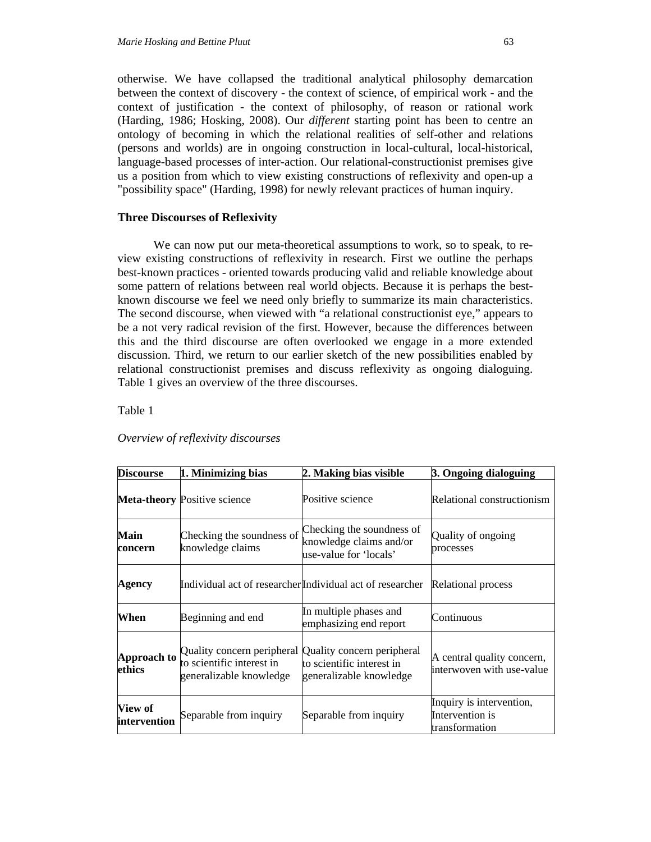otherwise. We have collapsed the traditional analytical philosophy demarcation between the context of discovery - the context of science, of empirical work - and the context of justification - the context of philosophy, of reason or rational work (Harding, 1986; Hosking, 2008). Our *different* starting point has been to centre an ontology of becoming in which the relational realities of self-other and relations (persons and worlds) are in ongoing construction in local-cultural, local-historical, language-based processes of inter-action. Our relational-constructionist premises give us a position from which to view existing constructions of reflexivity and open-up a "possibility space" (Harding, 1998) for newly relevant practices of human inquiry.

## **Three Discourses of Reflexivity**

We can now put our meta-theoretical assumptions to work, so to speak, to review existing constructions of reflexivity in research. First we outline the perhaps best-known practices - oriented towards producing valid and reliable knowledge about some pattern of relations between real world objects. Because it is perhaps the bestknown discourse we feel we need only briefly to summarize its main characteristics. The second discourse, when viewed with "a relational constructionist eye," appears to be a not very radical revision of the first. However, because the differences between this and the third discourse are often overlooked we engage in a more extended discussion. Third, we return to our earlier sketch of the new possibilities enabled by relational constructionist premises and discuss reflexivity as ongoing dialoguing. Table 1 gives an overview of the three discourses.

Table 1

| Overview of reflexivity discourses |  |  |  |  |  |
|------------------------------------|--|--|--|--|--|
|------------------------------------|--|--|--|--|--|

| <b>Discourse</b>        | 1. Minimizing bias                                                                                            | 2. Making bias visible                                                         | 3. Ongoing dialoguing                                         |
|-------------------------|---------------------------------------------------------------------------------------------------------------|--------------------------------------------------------------------------------|---------------------------------------------------------------|
|                         | <b>Meta-theory Positive science</b>                                                                           | Positive science                                                               | Relational constructionism                                    |
| Main<br>concern         | Checking the soundness of<br>knowledge claims                                                                 | Checking the soundness of<br>knowledge claims and/or<br>use-value for 'locals' | Quality of ongoing<br>processes                               |
| Agency                  |                                                                                                               | Individual act of researcher Individual act of researcher                      | Relational process                                            |
| When                    | Beginning and end                                                                                             | In multiple phases and<br>emphasizing end report                               | Continuous                                                    |
| Approach to<br>ethics   | Quality concern peripheral Quality concern peripheral<br>to scientific interest in<br>generalizable knowledge | to scientific interest in<br>generalizable knowledge                           | A central quality concern,<br>interwoven with use-value       |
| View of<br>intervention | Separable from inquiry                                                                                        | Separable from inquiry                                                         | Inquiry is intervention,<br>Intervention is<br>transformation |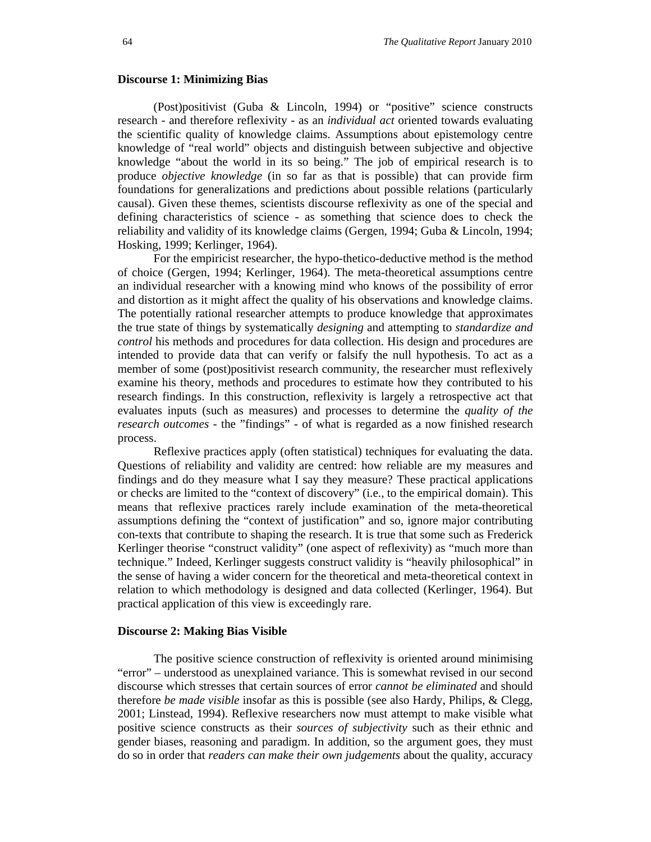## **Discourse 1: Minimizing Bias**

(Post)positivist (Guba & Lincoln, 1994) or "positive" science constructs research - and therefore reflexivity - as an *individual act* oriented towards evaluating the scientific quality of knowledge claims. Assumptions about epistemology centre knowledge of "real world" objects and distinguish between subjective and objective knowledge "about the world in its so being." The job of empirical research is to produce *objective knowledge* (in so far as that is possible) that can provide firm foundations for generalizations and predictions about possible relations (particularly causal). Given these themes, scientists discourse reflexivity as one of the special and defining characteristics of science - as something that science does to check the reliability and validity of its knowledge claims (Gergen, 1994; Guba & Lincoln, 1994; Hosking, 1999; Kerlinger, 1964).

For the empiricist researcher, the hypo-thetico-deductive method is the method of choice (Gergen, 1994; Kerlinger, 1964). The meta-theoretical assumptions centre an individual researcher with a knowing mind who knows of the possibility of error and distortion as it might affect the quality of his observations and knowledge claims. The potentially rational researcher attempts to produce knowledge that approximates the true state of things by systematically *designing* and attempting to *standardize and control* his methods and procedures for data collection. His design and procedures are intended to provide data that can verify or falsify the null hypothesis. To act as a member of some (post)positivist research community, the researcher must reflexively examine his theory, methods and procedures to estimate how they contributed to his research findings. In this construction, reflexivity is largely a retrospective act that evaluates inputs (such as measures) and processes to determine the *quality of the research outcomes* - the "findings" - of what is regarded as a now finished research process.

Reflexive practices apply (often statistical) techniques for evaluating the data. Questions of reliability and validity are centred: how reliable are my measures and findings and do they measure what I say they measure? These practical applications or checks are limited to the "context of discovery" (i.e., to the empirical domain). This means that reflexive practices rarely include examination of the meta-theoretical assumptions defining the "context of justification" and so, ignore major contributing con-texts that contribute to shaping the research. It is true that some such as Frederick Kerlinger theorise "construct validity" (one aspect of reflexivity) as "much more than technique." Indeed, Kerlinger suggests construct validity is "heavily philosophical" in the sense of having a wider concern for the theoretical and meta-theoretical context in relation to which methodology is designed and data collected (Kerlinger, 1964). But practical application of this view is exceedingly rare.

#### **Discourse 2: Making Bias Visible**

The positive science construction of reflexivity is oriented around minimising "error" – understood as unexplained variance. This is somewhat revised in our second discourse which stresses that certain sources of error *cannot be eliminated* and should therefore *be made visible* insofar as this is possible (see also Hardy, Philips, & Clegg, 2001; Linstead, 1994). Reflexive researchers now must attempt to make visible what positive science constructs as their *sources of subjectivity* such as their ethnic and gender biases, reasoning and paradigm. In addition, so the argument goes, they must do so in order that *readers can make their own judgements* about the quality, accuracy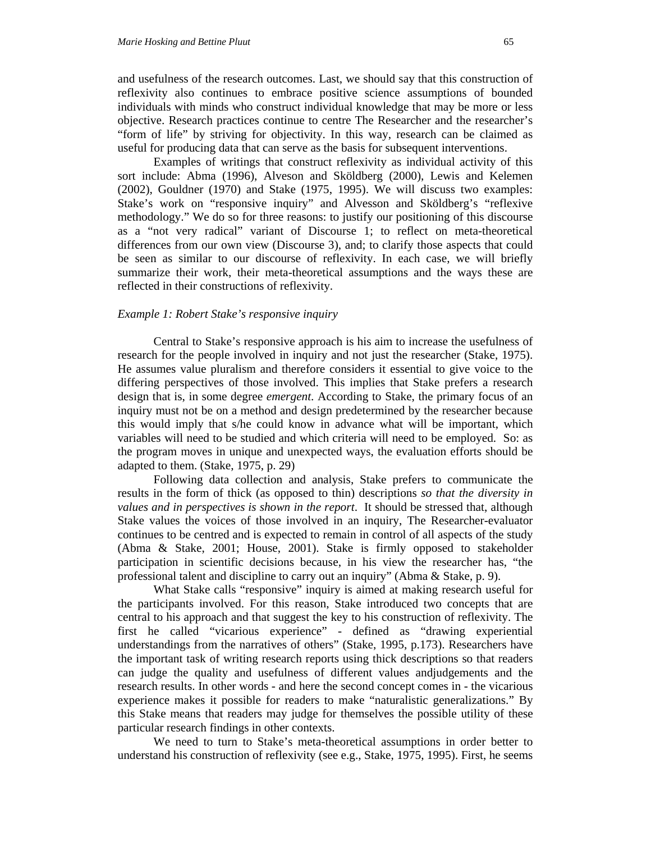and usefulness of the research outcomes. Last, we should say that this construction of reflexivity also continues to embrace positive science assumptions of bounded individuals with minds who construct individual knowledge that may be more or less objective. Research practices continue to centre The Researcher and the researcher's "form of life" by striving for objectivity. In this way, research can be claimed as useful for producing data that can serve as the basis for subsequent interventions.

Examples of writings that construct reflexivity as individual activity of this sort include: Abma (1996), Alveson and Sköldberg (2000), Lewis and Kelemen (2002), Gouldner (1970) and Stake (1975, 1995). We will discuss two examples: Stake's work on "responsive inquiry" and Alvesson and Sköldberg's "reflexive methodology." We do so for three reasons: to justify our positioning of this discourse as a "not very radical" variant of Discourse 1; to reflect on meta-theoretical differences from our own view (Discourse 3), and; to clarify those aspects that could be seen as similar to our discourse of reflexivity. In each case, we will briefly summarize their work, their meta-theoretical assumptions and the ways these are reflected in their constructions of reflexivity.

#### *Example 1: Robert Stake's responsive inquiry*

Central to Stake's responsive approach is his aim to increase the usefulness of research for the people involved in inquiry and not just the researcher (Stake, 1975). He assumes value pluralism and therefore considers it essential to give voice to the differing perspectives of those involved. This implies that Stake prefers a research design that is, in some degree *emergent*. According to Stake, the primary focus of an inquiry must not be on a method and design predetermined by the researcher because this would imply that s/he could know in advance what will be important, which variables will need to be studied and which criteria will need to be employed. So: as the program moves in unique and unexpected ways, the evaluation efforts should be adapted to them. (Stake, 1975, p. 29)

Following data collection and analysis, Stake prefers to communicate the results in the form of thick (as opposed to thin) descriptions *so that the diversity in values and in perspectives is shown in the report*. It should be stressed that, although Stake values the voices of those involved in an inquiry, The Researcher-evaluator continues to be centred and is expected to remain in control of all aspects of the study (Abma & Stake, 2001; House, 2001). Stake is firmly opposed to stakeholder participation in scientific decisions because, in his view the researcher has, "the professional talent and discipline to carry out an inquiry" (Abma & Stake, p. 9).

What Stake calls "responsive" inquiry is aimed at making research useful for the participants involved. For this reason, Stake introduced two concepts that are central to his approach and that suggest the key to his construction of reflexivity. The first he called "vicarious experience" - defined as "drawing experiential understandings from the narratives of others" (Stake, 1995, p.173). Researchers have the important task of writing research reports using thick descriptions so that readers can judge the quality and usefulness of different values andjudgements and the research results. In other words - and here the second concept comes in - the vicarious experience makes it possible for readers to make "naturalistic generalizations." By this Stake means that readers may judge for themselves the possible utility of these particular research findings in other contexts.

We need to turn to Stake's meta-theoretical assumptions in order better to understand his construction of reflexivity (see e.g., Stake, 1975, 1995). First, he seems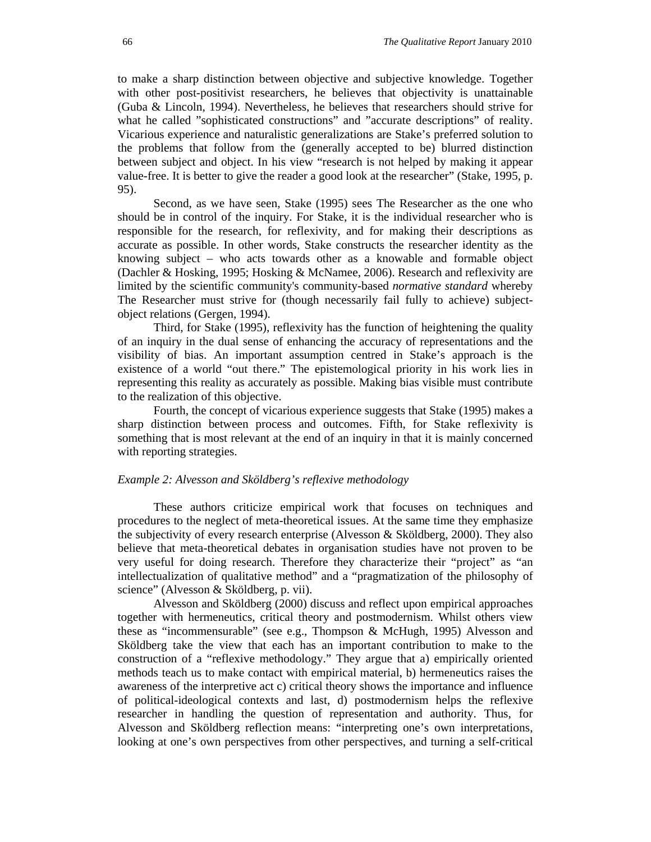to make a sharp distinction between objective and subjective knowledge. Together with other post-positivist researchers, he believes that objectivity is unattainable (Guba & Lincoln, 1994). Nevertheless, he believes that researchers should strive for what he called "sophisticated constructions" and "accurate descriptions" of reality. Vicarious experience and naturalistic generalizations are Stake's preferred solution to the problems that follow from the (generally accepted to be) blurred distinction between subject and object. In his view "research is not helped by making it appear value-free. It is better to give the reader a good look at the researcher" (Stake, 1995, p. 95).

Second, as we have seen, Stake (1995) sees The Researcher as the one who should be in control of the inquiry. For Stake, it is the individual researcher who is responsible for the research, for reflexivity, and for making their descriptions as accurate as possible. In other words, Stake constructs the researcher identity as the knowing subject – who acts towards other as a knowable and formable object (Dachler & Hosking, 1995; Hosking & McNamee, 2006). Research and reflexivity are limited by the scientific community's community-based *normative standard* whereby The Researcher must strive for (though necessarily fail fully to achieve) subjectobject relations (Gergen, 1994).

Third, for Stake (1995), reflexivity has the function of heightening the quality of an inquiry in the dual sense of enhancing the accuracy of representations and the visibility of bias. An important assumption centred in Stake's approach is the existence of a world "out there." The epistemological priority in his work lies in representing this reality as accurately as possible. Making bias visible must contribute to the realization of this objective.

Fourth, the concept of vicarious experience suggests that Stake (1995) makes a sharp distinction between process and outcomes. Fifth, for Stake reflexivity is something that is most relevant at the end of an inquiry in that it is mainly concerned with reporting strategies.

#### *Example 2: Alvesson and Sköldberg's reflexive methodology*

These authors criticize empirical work that focuses on techniques and procedures to the neglect of meta-theoretical issues. At the same time they emphasize the subjectivity of every research enterprise (Alvesson & Sköldberg, 2000). They also believe that meta-theoretical debates in organisation studies have not proven to be very useful for doing research. Therefore they characterize their "project" as "an intellectualization of qualitative method" and a "pragmatization of the philosophy of science" (Alvesson & Sköldberg, p. vii).

Alvesson and Sköldberg (2000) discuss and reflect upon empirical approaches together with hermeneutics, critical theory and postmodernism. Whilst others view these as "incommensurable" (see e.g., Thompson & McHugh, 1995) Alvesson and Sköldberg take the view that each has an important contribution to make to the construction of a "reflexive methodology." They argue that a) empirically oriented methods teach us to make contact with empirical material, b) hermeneutics raises the awareness of the interpretive act c) critical theory shows the importance and influence of political-ideological contexts and last, d) postmodernism helps the reflexive researcher in handling the question of representation and authority. Thus, for Alvesson and Sköldberg reflection means: "interpreting one's own interpretations, looking at one's own perspectives from other perspectives, and turning a self-critical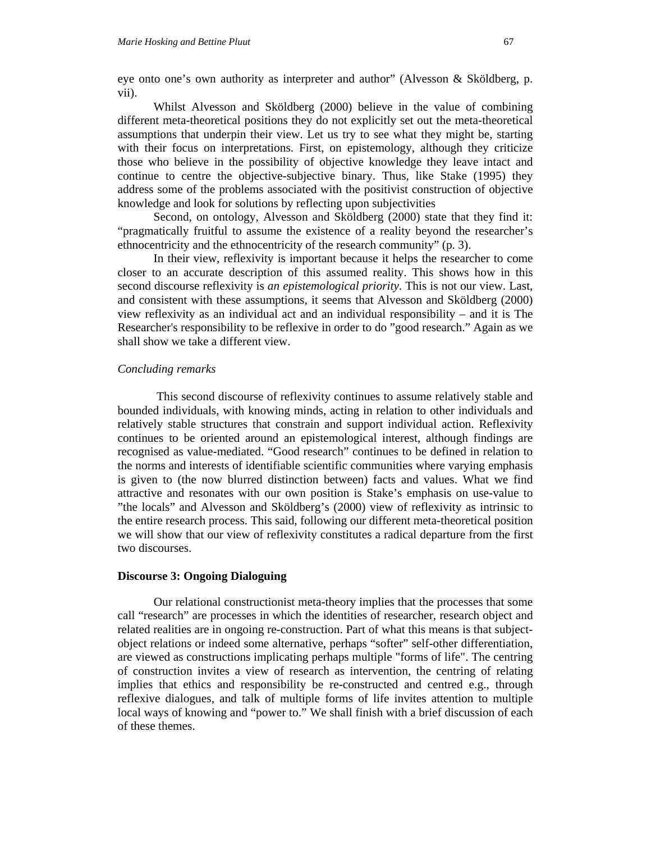eye onto one's own authority as interpreter and author" (Alvesson & Sköldberg, p. vii).

Whilst Alvesson and Sköldberg (2000) believe in the value of combining different meta-theoretical positions they do not explicitly set out the meta-theoretical assumptions that underpin their view. Let us try to see what they might be, starting with their focus on interpretations. First, on epistemology, although they criticize those who believe in the possibility of objective knowledge they leave intact and continue to centre the objective-subjective binary. Thus, like Stake (1995) they address some of the problems associated with the positivist construction of objective knowledge and look for solutions by reflecting upon subjectivities

Second, on ontology, Alvesson and Sköldberg (2000) state that they find it: "pragmatically fruitful to assume the existence of a reality beyond the researcher's ethnocentricity and the ethnocentricity of the research community" (p. 3).

In their view, reflexivity is important because it helps the researcher to come closer to an accurate description of this assumed reality. This shows how in this second discourse reflexivity is *an epistemological priority*. This is not our view. Last, and consistent with these assumptions, it seems that Alvesson and Sköldberg (2000) view reflexivity as an individual act and an individual responsibility – and it is The Researcher's responsibility to be reflexive in order to do "good research." Again as we shall show we take a different view.

#### *Concluding remarks*

 This second discourse of reflexivity continues to assume relatively stable and bounded individuals, with knowing minds, acting in relation to other individuals and relatively stable structures that constrain and support individual action. Reflexivity continues to be oriented around an epistemological interest, although findings are recognised as value-mediated. "Good research" continues to be defined in relation to the norms and interests of identifiable scientific communities where varying emphasis is given to (the now blurred distinction between) facts and values. What we find attractive and resonates with our own position is Stake's emphasis on use-value to "the locals" and Alvesson and Sköldberg's (2000) view of reflexivity as intrinsic to the entire research process. This said, following our different meta-theoretical position we will show that our view of reflexivity constitutes a radical departure from the first two discourses.

## **Discourse 3: Ongoing Dialoguing**

Our relational constructionist meta-theory implies that the processes that some call "research" are processes in which the identities of researcher, research object and related realities are in ongoing re-construction. Part of what this means is that subjectobject relations or indeed some alternative, perhaps "softer" self-other differentiation, are viewed as constructions implicating perhaps multiple "forms of life". The centring of construction invites a view of research as intervention, the centring of relating implies that ethics and responsibility be re-constructed and centred e.g., through reflexive dialogues, and talk of multiple forms of life invites attention to multiple local ways of knowing and "power to." We shall finish with a brief discussion of each of these themes.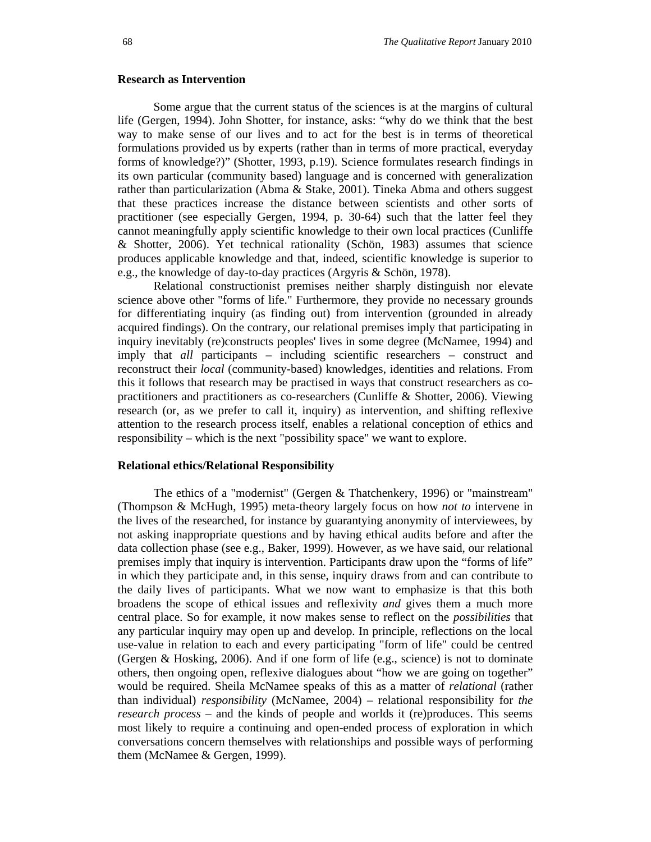## **Research as Intervention**

Some argue that the current status of the sciences is at the margins of cultural life (Gergen, 1994). John Shotter, for instance, asks: "why do we think that the best way to make sense of our lives and to act for the best is in terms of theoretical formulations provided us by experts (rather than in terms of more practical, everyday forms of knowledge?)" (Shotter, 1993, p.19). Science formulates research findings in its own particular (community based) language and is concerned with generalization rather than particularization (Abma & Stake, 2001). Tineka Abma and others suggest that these practices increase the distance between scientists and other sorts of practitioner (see especially Gergen, 1994, p. 30-64) such that the latter feel they cannot meaningfully apply scientific knowledge to their own local practices (Cunliffe & Shotter, 2006). Yet technical rationality (Schön, 1983) assumes that science produces applicable knowledge and that, indeed, scientific knowledge is superior to e.g., the knowledge of day-to-day practices (Argyris & Schön, 1978).

Relational constructionist premises neither sharply distinguish nor elevate science above other "forms of life." Furthermore, they provide no necessary grounds for differentiating inquiry (as finding out) from intervention (grounded in already acquired findings). On the contrary, our relational premises imply that participating in inquiry inevitably (re)constructs peoples' lives in some degree (McNamee, 1994) and imply that *all* participants – including scientific researchers – construct and reconstruct their *local* (community-based) knowledges, identities and relations. From this it follows that research may be practised in ways that construct researchers as copractitioners and practitioners as co-researchers (Cunliffe & Shotter, 2006). Viewing research (or, as we prefer to call it, inquiry) as intervention, and shifting reflexive attention to the research process itself, enables a relational conception of ethics and responsibility – which is the next "possibility space" we want to explore.

#### **Relational ethics/Relational Responsibility**

The ethics of a "modernist" (Gergen & Thatchenkery, 1996) or "mainstream" (Thompson & McHugh, 1995) meta-theory largely focus on how *not to* intervene in the lives of the researched, for instance by guarantying anonymity of interviewees, by not asking inappropriate questions and by having ethical audits before and after the data collection phase (see e.g., Baker, 1999). However, as we have said, our relational premises imply that inquiry is intervention. Participants draw upon the "forms of life" in which they participate and, in this sense, inquiry draws from and can contribute to the daily lives of participants. What we now want to emphasize is that this both broadens the scope of ethical issues and reflexivity *and* gives them a much more central place. So for example, it now makes sense to reflect on the *possibilities* that any particular inquiry may open up and develop. In principle, reflections on the local use-value in relation to each and every participating "form of life" could be centred (Gergen & Hosking, 2006). And if one form of life (e.g., science) is not to dominate others, then ongoing open, reflexive dialogues about "how we are going on together" would be required. Sheila McNamee speaks of this as a matter of *relational* (rather than individual) *responsibility* (McNamee, 2004) – relational responsibility for *the research process* – and the kinds of people and worlds it (re)produces. This seems most likely to require a continuing and open-ended process of exploration in which conversations concern themselves with relationships and possible ways of performing them (McNamee & Gergen, 1999).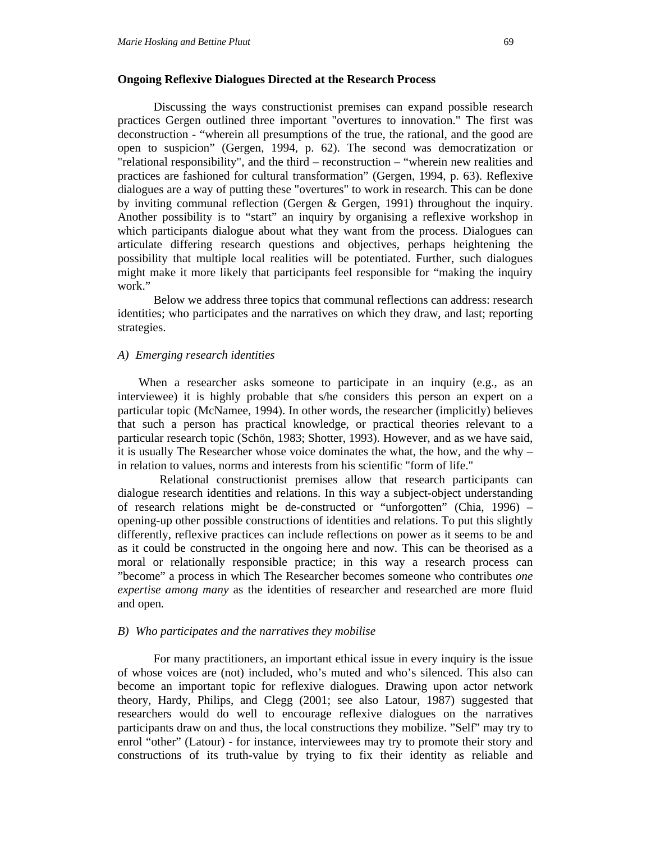#### **Ongoing Reflexive Dialogues Directed at the Research Process**

Discussing the ways constructionist premises can expand possible research practices Gergen outlined three important "overtures to innovation." The first was deconstruction - "wherein all presumptions of the true, the rational, and the good are open to suspicion" (Gergen, 1994, p. 62). The second was democratization or "relational responsibility", and the third – reconstruction – "wherein new realities and practices are fashioned for cultural transformation" (Gergen, 1994, p. 63). Reflexive dialogues are a way of putting these "overtures" to work in research. This can be done by inviting communal reflection (Gergen & Gergen, 1991) throughout the inquiry. Another possibility is to "start" an inquiry by organising a reflexive workshop in which participants dialogue about what they want from the process. Dialogues can articulate differing research questions and objectives, perhaps heightening the possibility that multiple local realities will be potentiated. Further, such dialogues might make it more likely that participants feel responsible for "making the inquiry work."

Below we address three topics that communal reflections can address: research identities; who participates and the narratives on which they draw, and last; reporting strategies.

#### *A) Emerging research identities*

When a researcher asks someone to participate in an inquiry (e.g., as an interviewee) it is highly probable that s/he considers this person an expert on a particular topic (McNamee, 1994). In other words, the researcher (implicitly) believes that such a person has practical knowledge, or practical theories relevant to a particular research topic (Schön, 1983; Shotter, 1993). However, and as we have said, it is usually The Researcher whose voice dominates the what, the how, and the why – in relation to values, norms and interests from his scientific "form of life."

 Relational constructionist premises allow that research participants can dialogue research identities and relations. In this way a subject-object understanding of research relations might be de-constructed or "unforgotten" (Chia, 1996) – opening-up other possible constructions of identities and relations. To put this slightly differently, reflexive practices can include reflections on power as it seems to be and as it could be constructed in the ongoing here and now. This can be theorised as a moral or relationally responsible practice; in this way a research process can "become" a process in which The Researcher becomes someone who contributes *one expertise among many* as the identities of researcher and researched are more fluid and open*.*

#### *B) Who participates and the narratives they mobilise*

For many practitioners, an important ethical issue in every inquiry is the issue of whose voices are (not) included, who's muted and who's silenced. This also can become an important topic for reflexive dialogues. Drawing upon actor network theory, Hardy, Philips, and Clegg (2001; see also Latour, 1987) suggested that researchers would do well to encourage reflexive dialogues on the narratives participants draw on and thus, the local constructions they mobilize. "Self" may try to enrol "other" (Latour) - for instance, interviewees may try to promote their story and constructions of its truth-value by trying to fix their identity as reliable and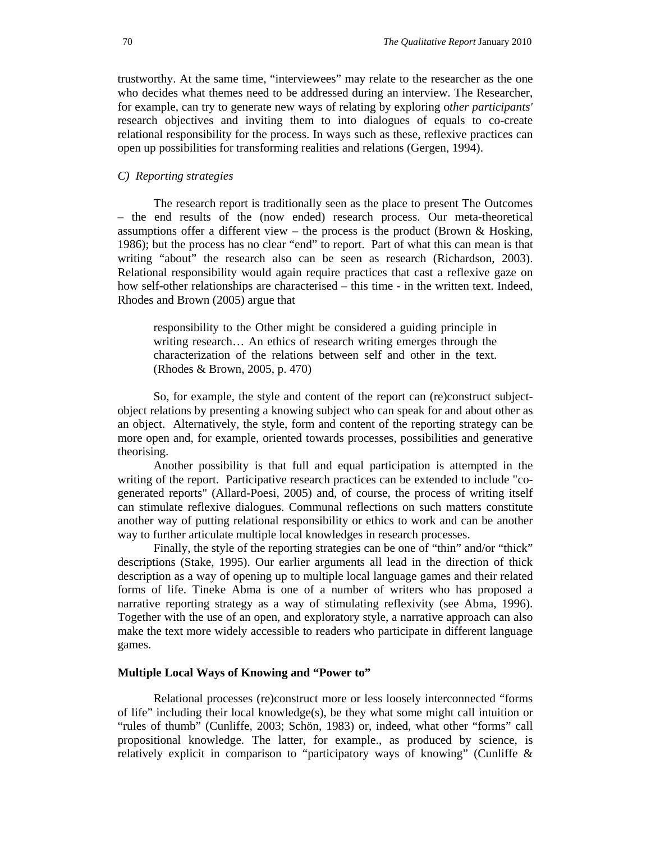trustworthy. At the same time, "interviewees" may relate to the researcher as the one who decides what themes need to be addressed during an interview. The Researcher, for example, can try to generate new ways of relating by exploring o*ther participants'*  research objectives and inviting them to into dialogues of equals to co-create relational responsibility for the process. In ways such as these, reflexive practices can open up possibilities for transforming realities and relations (Gergen, 1994).

## *C) Reporting strategies*

The research report is traditionally seen as the place to present The Outcomes – the end results of the (now ended) research process. Our meta-theoretical assumptions offer a different view – the process is the product (Brown  $\&$  Hosking, 1986); but the process has no clear "end" to report. Part of what this can mean is that writing "about" the research also can be seen as research (Richardson, 2003). Relational responsibility would again require practices that cast a reflexive gaze on how self-other relationships are characterised – this time - in the written text. Indeed, Rhodes and Brown (2005) argue that

responsibility to the Other might be considered a guiding principle in writing research… An ethics of research writing emerges through the characterization of the relations between self and other in the text. (Rhodes & Brown, 2005, p. 470)

So, for example, the style and content of the report can (re)construct subjectobject relations by presenting a knowing subject who can speak for and about other as an object. Alternatively, the style, form and content of the reporting strategy can be more open and, for example, oriented towards processes, possibilities and generative theorising.

Another possibility is that full and equal participation is attempted in the writing of the report. Participative research practices can be extended to include "cogenerated reports" (Allard-Poesi, 2005) and, of course, the process of writing itself can stimulate reflexive dialogues. Communal reflections on such matters constitute another way of putting relational responsibility or ethics to work and can be another way to further articulate multiple local knowledges in research processes.

Finally, the style of the reporting strategies can be one of "thin" and/or "thick" descriptions (Stake, 1995). Our earlier arguments all lead in the direction of thick description as a way of opening up to multiple local language games and their related forms of life. Tineke Abma is one of a number of writers who has proposed a narrative reporting strategy as a way of stimulating reflexivity (see Abma, 1996). Together with the use of an open, and exploratory style, a narrative approach can also make the text more widely accessible to readers who participate in different language games.

## **Multiple Local Ways of Knowing and "Power to"**

Relational processes (re)construct more or less loosely interconnected "forms of life" including their local knowledge(s), be they what some might call intuition or "rules of thumb" (Cunliffe, 2003; Schön, 1983) or, indeed, what other "forms" call propositional knowledge. The latter, for example., as produced by science, is relatively explicit in comparison to "participatory ways of knowing" (Cunliffe &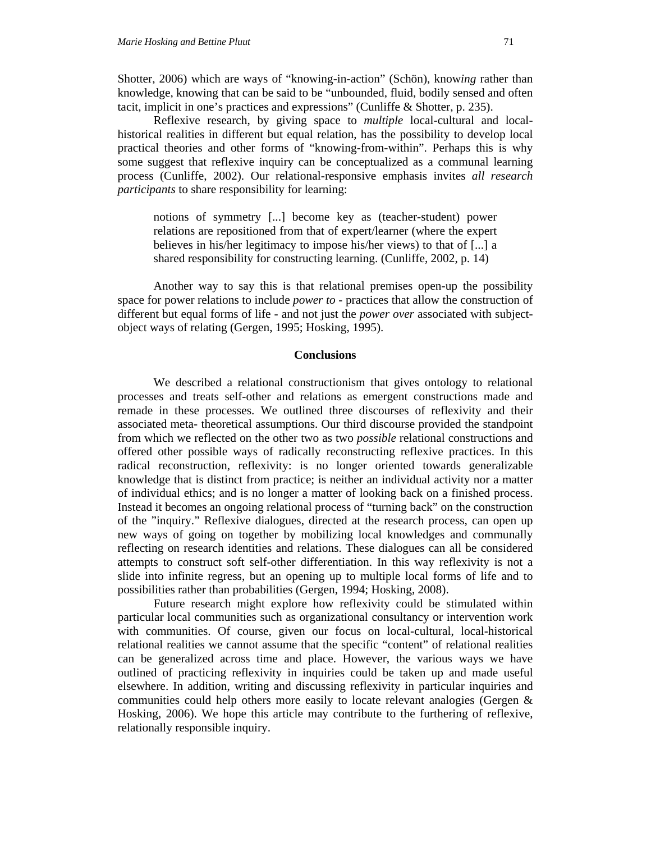Shotter, 2006) which are ways of "knowing-in-action" (Schön), know*ing* rather than knowledge, knowing that can be said to be "unbounded, fluid, bodily sensed and often tacit, implicit in one's practices and expressions" (Cunliffe & Shotter, p. 235).

Reflexive research, by giving space to *multiple* local-cultural and localhistorical realities in different but equal relation, has the possibility to develop local practical theories and other forms of "knowing-from-within". Perhaps this is why some suggest that reflexive inquiry can be conceptualized as a communal learning process (Cunliffe, 2002). Our relational-responsive emphasis invites *all research participants* to share responsibility for learning:

notions of symmetry [...] become key as (teacher-student) power relations are repositioned from that of expert/learner (where the expert believes in his/her legitimacy to impose his/her views) to that of [...] a shared responsibility for constructing learning. (Cunliffe, 2002, p. 14)

Another way to say this is that relational premises open-up the possibility space for power relations to include *power to* - practices that allow the construction of different but equal forms of life - and not just the *power over* associated with subjectobject ways of relating (Gergen, 1995; Hosking, 1995).

#### **Conclusions**

We described a relational constructionism that gives ontology to relational processes and treats self-other and relations as emergent constructions made and remade in these processes. We outlined three discourses of reflexivity and their associated meta- theoretical assumptions. Our third discourse provided the standpoint from which we reflected on the other two as two *possible* relational constructions and offered other possible ways of radically reconstructing reflexive practices. In this radical reconstruction, reflexivity: is no longer oriented towards generalizable knowledge that is distinct from practice; is neither an individual activity nor a matter of individual ethics; and is no longer a matter of looking back on a finished process. Instead it becomes an ongoing relational process of "turning back" on the construction of the "inquiry." Reflexive dialogues, directed at the research process, can open up new ways of going on together by mobilizing local knowledges and communally reflecting on research identities and relations. These dialogues can all be considered attempts to construct soft self-other differentiation. In this way reflexivity is not a slide into infinite regress, but an opening up to multiple local forms of life and to possibilities rather than probabilities (Gergen, 1994; Hosking, 2008).

Future research might explore how reflexivity could be stimulated within particular local communities such as organizational consultancy or intervention work with communities. Of course, given our focus on local-cultural, local-historical relational realities we cannot assume that the specific "content" of relational realities can be generalized across time and place. However, the various ways we have outlined of practicing reflexivity in inquiries could be taken up and made useful elsewhere. In addition, writing and discussing reflexivity in particular inquiries and communities could help others more easily to locate relevant analogies (Gergen & Hosking, 2006). We hope this article may contribute to the furthering of reflexive, relationally responsible inquiry.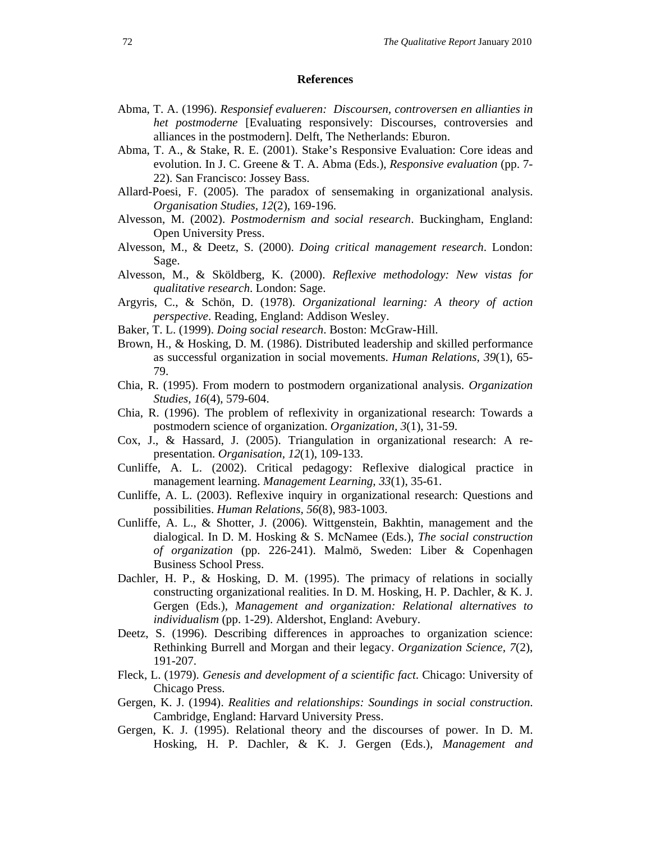## **References**

- Abma, T. A. (1996). *Responsief evalueren: Discoursen, controversen en allianties in het postmoderne* [Evaluating responsively: Discourses, controversies and alliances in the postmodern]. Delft, The Netherlands: Eburon.
- Abma, T. A., & Stake, R. E. (2001). Stake's Responsive Evaluation: Core ideas and evolution. In J. C. Greene & T. A. Abma (Eds.), *Responsive evaluation* (pp. 7- 22). San Francisco: Jossey Bass.
- Allard-Poesi, F. (2005). The paradox of sensemaking in organizational analysis. *Organisation Studies, 12*(2), 169-196.
- Alvesson, M. (2002). *Postmodernism and social research*. Buckingham, England: Open University Press.
- Alvesson, M., & Deetz, S. (2000). *Doing critical management research*. London: Sage.
- Alvesson, M., & Sköldberg, K. (2000). *Reflexive methodology: New vistas for qualitative research*. London: Sage.
- Argyris, C., & Schön, D. (1978). *Organizational learning: A theory of action perspective*. Reading, England: Addison Wesley.
- Baker, T. L. (1999). *Doing social research*. Boston: McGraw-Hill.
- Brown, H., & Hosking, D. M. (1986). Distributed leadership and skilled performance as successful organization in social movements. *Human Relations, 39*(1), 65- 79.
- Chia, R. (1995). From modern to postmodern organizational analysis. *Organization Studies, 16*(4), 579-604.
- Chia, R. (1996). The problem of reflexivity in organizational research: Towards a postmodern science of organization. *Organization, 3*(1), 31-59.
- Cox, J., & Hassard, J. (2005). Triangulation in organizational research: A representation. *Organisation, 12*(1), 109-133.
- Cunliffe, A. L. (2002). Critical pedagogy: Reflexive dialogical practice in management learning. *Management Learning, 33*(1), 35-61.
- Cunliffe, A. L. (2003). Reflexive inquiry in organizational research: Questions and possibilities. *Human Relations, 56*(8), 983-1003.
- Cunliffe, A. L., & Shotter, J. (2006). Wittgenstein, Bakhtin, management and the dialogical. In D. M. Hosking & S. McNamee (Eds.), *The social construction of organization* (pp. 226-241). Malmö, Sweden: Liber & Copenhagen Business School Press.
- Dachler, H. P., & Hosking, D. M. (1995). The primacy of relations in socially constructing organizational realities. In D. M. Hosking, H. P. Dachler, & K. J. Gergen (Eds.), *Management and organization: Relational alternatives to individualism* (pp. 1-29). Aldershot, England: Avebury.
- Deetz, S. (1996). Describing differences in approaches to organization science: Rethinking Burrell and Morgan and their legacy. *Organization Science, 7*(2), 191-207.
- Fleck, L. (1979). *Genesis and development of a scientific fact*. Chicago: University of Chicago Press.
- Gergen, K. J. (1994). *Realities and relationships: Soundings in social construction*. Cambridge, England: Harvard University Press.
- Gergen, K. J. (1995). Relational theory and the discourses of power. In D. M. Hosking, H. P. Dachler, & K. J. Gergen (Eds.), *Management and*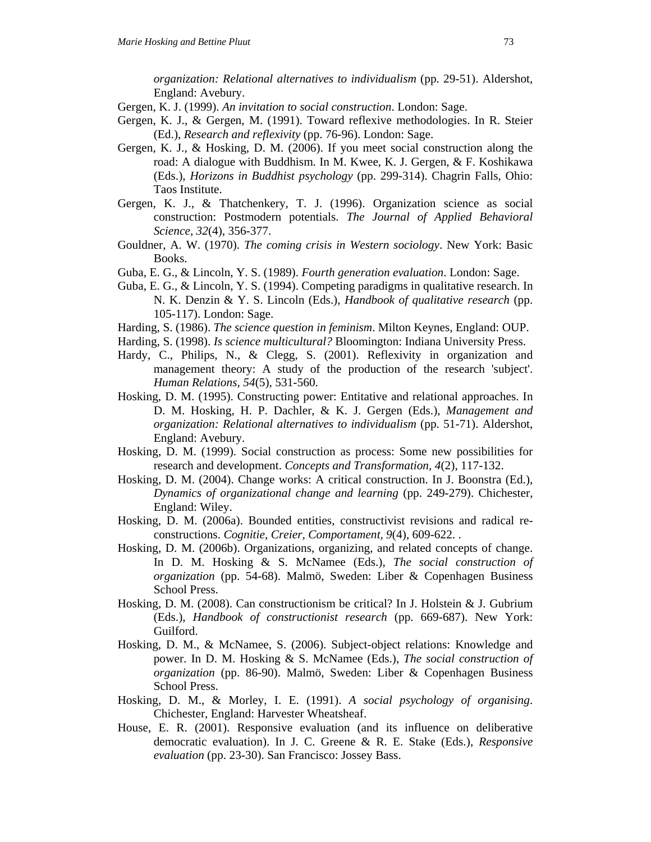*organization: Relational alternatives to individualism* (pp. 29-51). Aldershot, England: Avebury.

- Gergen, K. J. (1999). *An invitation to social construction*. London: Sage.
- Gergen, K. J., & Gergen, M. (1991). Toward reflexive methodologies. In R. Steier (Ed.), *Research and reflexivity* (pp. 76-96). London: Sage.
- Gergen, K. J., & Hosking, D. M. (2006). If you meet social construction along the road: A dialogue with Buddhism. In M. Kwee, K. J. Gergen, & F. Koshikawa (Eds.), *Horizons in Buddhist psychology* (pp. 299-314). Chagrin Falls, Ohio: Taos Institute.
- Gergen, K. J., & Thatchenkery, T. J. (1996). Organization science as social construction: Postmodern potentials. *The Journal of Applied Behavioral Science, 32*(4), 356-377.
- Gouldner, A. W. (1970). *The coming crisis in Western sociology*. New York: Basic Books.
- Guba, E. G., & Lincoln, Y. S. (1989). *Fourth generation evaluation*. London: Sage.
- Guba, E. G., & Lincoln, Y. S. (1994). Competing paradigms in qualitative research. In N. K. Denzin & Y. S. Lincoln (Eds.), *Handbook of qualitative research* (pp. 105-117). London: Sage.
- Harding, S. (1986). *The science question in feminism*. Milton Keynes, England: OUP.
- Harding, S. (1998). *Is science multicultural?* Bloomington: Indiana University Press.
- Hardy, C., Philips, N., & Clegg, S. (2001). Reflexivity in organization and management theory: A study of the production of the research 'subject'. *Human Relations, 54*(5), 531-560.
- Hosking, D. M. (1995). Constructing power: Entitative and relational approaches. In D. M. Hosking, H. P. Dachler, & K. J. Gergen (Eds.), *Management and organization: Relational alternatives to individualism* (pp. 51-71). Aldershot, England: Avebury.
- Hosking, D. M. (1999). Social construction as process: Some new possibilities for research and development. *Concepts and Transformation, 4*(2), 117-132.
- Hosking, D. M. (2004). Change works: A critical construction. In J. Boonstra (Ed.), *Dynamics of organizational change and learning* (pp. 249-279). Chichester, England: Wiley.
- Hosking, D. M. (2006a). Bounded entities, constructivist revisions and radical reconstructions. *Cognitie, Creier, Comportament, 9*(4), 609-622. .
- Hosking, D. M. (2006b). Organizations, organizing, and related concepts of change. In D. M. Hosking & S. McNamee (Eds.), *The social construction of organization* (pp. 54-68). Malmö, Sweden: Liber & Copenhagen Business School Press.
- Hosking, D. M. (2008). Can constructionism be critical? In J. Holstein & J. Gubrium (Eds.), *Handbook of constructionist research* (pp. 669-687). New York: Guilford.
- Hosking, D. M., & McNamee, S. (2006). Subject-object relations: Knowledge and power. In D. M. Hosking & S. McNamee (Eds.), *The social construction of organization* (pp. 86-90). Malmö, Sweden: Liber & Copenhagen Business School Press.
- Hosking, D. M., & Morley, I. E. (1991). *A social psychology of organising*. Chichester, England: Harvester Wheatsheaf.
- House, E. R. (2001). Responsive evaluation (and its influence on deliberative democratic evaluation). In J. C. Greene & R. E. Stake (Eds.), *Responsive evaluation* (pp. 23-30). San Francisco: Jossey Bass.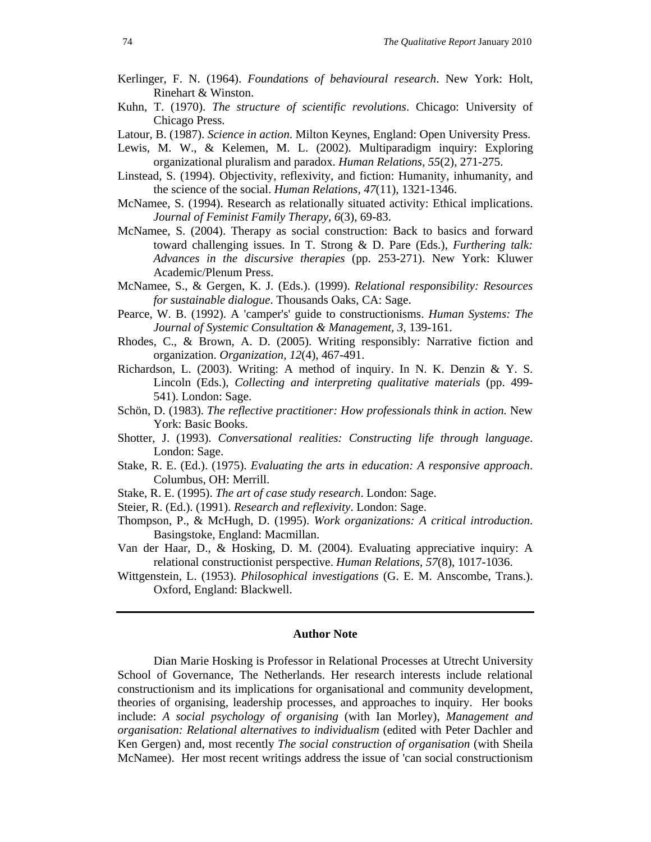- Kerlinger, F. N. (1964). *Foundations of behavioural research*. New York: Holt, Rinehart & Winston.
- Kuhn, T. (1970). *The structure of scientific revolutions*. Chicago: University of Chicago Press.
- Latour, B. (1987). *Science in action*. Milton Keynes, England: Open University Press.
- Lewis, M. W., & Kelemen, M. L. (2002). Multiparadigm inquiry: Exploring organizational pluralism and paradox. *Human Relations, 55*(2), 271-275.
- Linstead, S. (1994). Objectivity, reflexivity, and fiction: Humanity, inhumanity, and the science of the social. *Human Relations, 47*(11), 1321-1346.
- McNamee, S. (1994). Research as relationally situated activity: Ethical implications. *Journal of Feminist Family Therapy, 6*(3), 69-83.
- McNamee, S. (2004). Therapy as social construction: Back to basics and forward toward challenging issues. In T. Strong & D. Pare (Eds.), *Furthering talk: Advances in the discursive therapies* (pp. 253-271). New York: Kluwer Academic/Plenum Press.
- McNamee, S., & Gergen, K. J. (Eds.). (1999). *Relational responsibility: Resources for sustainable dialogue*. Thousands Oaks, CA: Sage.
- Pearce, W. B. (1992). A 'camper's' guide to constructionisms. *Human Systems: The Journal of Systemic Consultation & Management, 3*, 139-161.
- Rhodes, C., & Brown, A. D. (2005). Writing responsibly: Narrative fiction and organization. *Organization, 12*(4), 467-491.
- Richardson, L. (2003). Writing: A method of inquiry. In N. K. Denzin & Y. S. Lincoln (Eds.), *Collecting and interpreting qualitative materials* (pp. 499- 541). London: Sage.
- Schön, D. (1983). *The reflective practitioner: How professionals think in action*. New York: Basic Books.
- Shotter, J. (1993). *Conversational realities: Constructing life through language*. London: Sage.
- Stake, R. E. (Ed.). (1975). *Evaluating the arts in education: A responsive approach*. Columbus, OH: Merrill.
- Stake, R. E. (1995). *The art of case study research*. London: Sage.
- Steier, R. (Ed.). (1991). *Research and reflexivity*. London: Sage.
- Thompson, P., & McHugh, D. (1995). *Work organizations: A critical introduction*. Basingstoke, England: Macmillan.
- Van der Haar, D., & Hosking, D. M. (2004). Evaluating appreciative inquiry: A relational constructionist perspective. *Human Relations, 57*(8), 1017-1036.
- Wittgenstein, L. (1953). *Philosophical investigations* (G. E. M. Anscombe, Trans.). Oxford, England: Blackwell.

#### **Author Note**

Dian Marie Hosking is Professor in Relational Processes at Utrecht University School of Governance, The Netherlands. Her research interests include relational constructionism and its implications for organisational and community development, theories of organising, leadership processes, and approaches to inquiry. Her books include: *A social psychology of organising* (with Ian Morley), *Management and organisation: Relational alternatives to individualism* (edited with Peter Dachler and Ken Gergen) and, most recently *The social construction of organisation* (with Sheila McNamee). Her most recent writings address the issue of 'can social constructionism